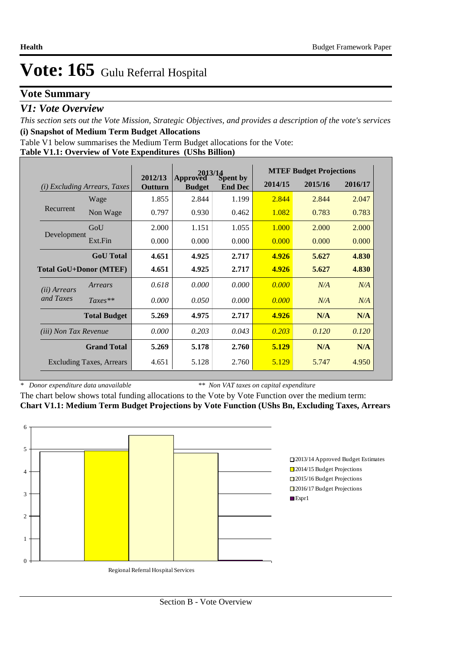## **Vote Summary**

## *V1: Vote Overview*

*This section sets out the Vote Mission, Strategic Objectives, and provides a description of the vote's services* **(i) Snapshot of Medium Term Budget Allocations** 

Table V1 below summarises the Medium Term Budget allocations for the Vote:

|  |  | Table V1.1: Overview of Vote Expenditures (UShs Billion) |
|--|--|----------------------------------------------------------|
|  |  |                                                          |

|                               |                                 | 2012/13 |                           | $2013/14$<br>ved Spent by | <b>MTEF Budget Projections</b> |         |         |  |
|-------------------------------|---------------------------------|---------|---------------------------|---------------------------|--------------------------------|---------|---------|--|
| (i)                           | Excluding Arrears, Taxes        | Outturn | Approved<br><b>Budget</b> | <b>End Dec</b>            | 2014/15                        | 2015/16 | 2016/17 |  |
|                               | Wage                            | 1.855   | 2.844                     | 1.199                     | 2.844                          | 2.844   | 2.047   |  |
| Recurrent                     | Non Wage                        | 0.797   | 0.930                     | 0.462                     | 1.082                          | 0.783   | 0.783   |  |
|                               | GoU                             | 2.000   | 1.151                     | 1.055                     | 1.000                          | 2.000   | 2.000   |  |
| Development                   | Ext.Fin                         | 0.000   | 0.000                     | 0.000                     | 0.000                          | 0.000   | 0.000   |  |
|                               | <b>GoU</b> Total                | 4.651   | 4.925                     | 2.717                     | 4.926                          | 5.627   | 4.830   |  |
| <b>Total GoU+Donor (MTEF)</b> |                                 | 4.651   | 4.925                     | 2.717                     | 4.926                          | 5.627   | 4.830   |  |
| ( <i>ii</i> ) Arrears         | Arrears                         | 0.618   | 0.000                     | 0.000                     | 0.000                          | N/A     | N/A     |  |
| and Taxes                     | $Taxes**$                       | 0.000   | 0.050                     | 0.000                     | 0.000                          | N/A     | N/A     |  |
|                               | <b>Total Budget</b>             | 5.269   | 4.975                     | 2.717                     | 4.926                          | N/A     | N/A     |  |
| <i>(iii)</i> Non Tax Revenue  |                                 | 0.000   | 0.203                     | 0.043                     | 0.203                          | 0.120   | 0.120   |  |
|                               | <b>Grand Total</b>              | 5.269   | 5.178                     | 2.760                     | 5.129                          | N/A     | N/A     |  |
|                               | <b>Excluding Taxes, Arrears</b> | 4.651   | 5.128                     | 2.760                     | 5.129                          | 5.747   | 4.950   |  |

*\* Donor expenditure data unavailable*

*\*\* Non VAT taxes on capital expenditure*

The chart below shows total funding allocations to the Vote by Vote Function over the medium term: **Chart V1.1: Medium Term Budget Projections by Vote Function (UShs Bn, Excluding Taxes, Arrears**

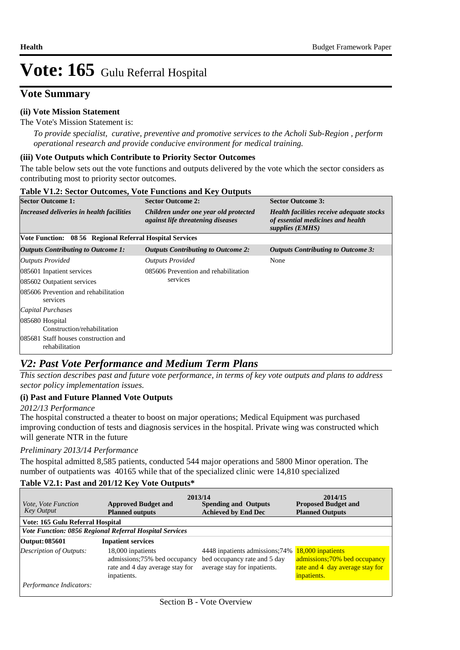## **Vote Summary**

## **(ii) Vote Mission Statement**

The Vote's Mission Statement is:

*To provide specialist, curative, preventive and promotive services to the Acholi Sub-Region , perform operational research and provide conducive environment for medical training.*

### **(iii) Vote Outputs which Contribute to Priority Sector Outcomes**

The table below sets out the vote functions and outputs delivered by the vote which the sector considers as contributing most to priority sector outcomes.

| <b>Table V1.2: Sector Outcomes, Vote Functions and Key Outputs</b> |                                                                                   |                                                                                                          |
|--------------------------------------------------------------------|-----------------------------------------------------------------------------------|----------------------------------------------------------------------------------------------------------|
| <b>Sector Outcome 1:</b>                                           | <b>Sector Outcome 2:</b>                                                          | <b>Sector Outcome 3:</b>                                                                                 |
| Increased deliveries in health facilities                          | Children under one year old protected<br><i>against life threatening diseases</i> | <b>Health facilities receive adequate stocks</b><br>of essential medicines and health<br>supplies (EMHS) |
| Vote Function: 08 56 Regional Referral Hospital Services           |                                                                                   |                                                                                                          |
| <b>Outputs Contributing to Outcome 1:</b>                          | <b>Outputs Contributing to Outcome 2:</b>                                         | <b>Outputs Contributing to Outcome 3:</b>                                                                |
| Outputs Provided                                                   | <b>Outputs Provided</b>                                                           | None                                                                                                     |
| 085601 Inpatient services                                          | 085606 Prevention and rehabilitation                                              |                                                                                                          |
| 085602 Outpatient services                                         | services                                                                          |                                                                                                          |
| 085606 Prevention and rehabilitation<br>services                   |                                                                                   |                                                                                                          |
| Capital Purchases                                                  |                                                                                   |                                                                                                          |
| 085680 Hospital<br>Construction/rehabilitation                     |                                                                                   |                                                                                                          |
| 085681 Staff houses construction and<br>rehabilitation             |                                                                                   |                                                                                                          |

## *V2: Past Vote Performance and Medium Term Plans*

*This section describes past and future vote performance, in terms of key vote outputs and plans to address sector policy implementation issues.* 

### **(i) Past and Future Planned Vote Outputs**

### *2012/13 Performance*

The hospital constructed a theater to boost on major operations; Medical Equipment was purchased improving conduction of tests and diagnosis services in the hospital. Private wing was constructed which will generate NTR in the future

### *Preliminary 2013/14 Performance*

The hospital admitted 8,585 patients, conducted 544 major operations and 5800 Minor operation. The number of outpatients was 40165 while that of the specialized clinic were 14,810 specialized

### **Table V2.1: Past and 201/12 Key Vote Outputs\***

| <i>Vote, Vote Function</i><br><b>Key Output</b> | 2013/14<br><b>Approved Budget and</b><br><b>Planned outputs</b>                                     | <b>Spending and Outputs</b><br><b>Achieved by End Dec</b>                                       | 2014/15<br><b>Proposed Budget and</b><br><b>Planned Outputs</b>                                     |
|-------------------------------------------------|-----------------------------------------------------------------------------------------------------|-------------------------------------------------------------------------------------------------|-----------------------------------------------------------------------------------------------------|
| Vote: 165 Gulu Referral Hospital                |                                                                                                     |                                                                                                 |                                                                                                     |
|                                                 | Vote Function: 0856 Regional Referral Hospital Services                                             |                                                                                                 |                                                                                                     |
| Output: 085601                                  | <b>Inpatient services</b>                                                                           |                                                                                                 |                                                                                                     |
| Description of Outputs:                         | 18,000 inpatients<br>admissions;75% bed occupancy<br>rate and 4 day average stay for<br>inpatients. | 4448 inpatients admissions; 74%<br>bed occupancy rate and 5 day<br>average stay for inpatients. | 18,000 inpatients<br>admissions;70% bed occupancy<br>rate and 4 day average stay for<br>inpatients. |
| Performance Indicators:                         |                                                                                                     |                                                                                                 |                                                                                                     |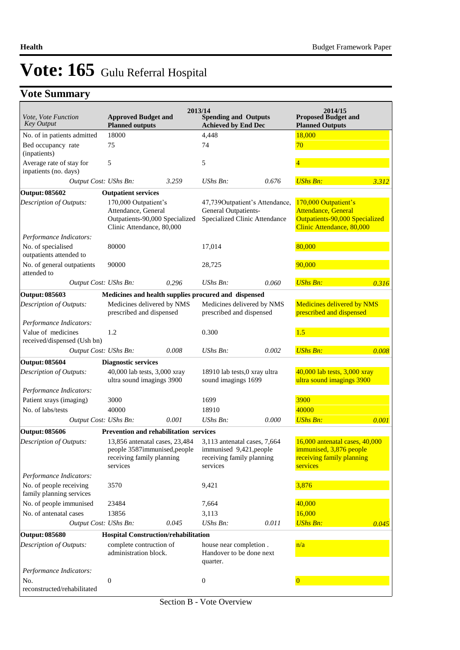# **Vote Summary**

| Vote, Vote Function<br>Key Output                   | <b>Approved Budget and</b><br><b>Planned outputs</b>                                                       |       | 2013/14<br><b>Spending and Outputs</b><br><b>Achieved by End Dec</b>                             |       | 2014/15<br><b>Proposed Budget and</b><br><b>Planned Outputs</b>                                                   |       |
|-----------------------------------------------------|------------------------------------------------------------------------------------------------------------|-------|--------------------------------------------------------------------------------------------------|-------|-------------------------------------------------------------------------------------------------------------------|-------|
| No. of in patients admitted                         | 18000                                                                                                      |       | 4,448                                                                                            |       | 18,000                                                                                                            |       |
| Bed occupancy rate<br>(inpatients)                  | 75                                                                                                         |       | 74                                                                                               |       | 70                                                                                                                |       |
| Average rate of stay for<br>inpatients (no. days)   | 5                                                                                                          |       | 5                                                                                                |       | $\overline{4}$                                                                                                    |       |
| Output Cost: UShs Bn:                               |                                                                                                            | 3.259 | UShs Bn:                                                                                         | 0.676 | <b>UShs Bn:</b>                                                                                                   | 3.312 |
| Output: 085602                                      | <b>Outpatient services</b>                                                                                 |       |                                                                                                  |       |                                                                                                                   |       |
| Description of Outputs:                             | 170,000 Outpatient's<br>Attendance, General<br>Outpatients-90,000 Specialized<br>Clinic Attendance, 80,000 |       | 47,739 Outpatient's Attendance,<br>General Outpatients-<br>Specialized Clinic Attendance         |       | 170,000 Outpatient's<br><b>Attendance, General</b><br>Outpatients-90,000 Specialized<br>Clinic Attendance, 80,000 |       |
| Performance Indicators:                             |                                                                                                            |       |                                                                                                  |       |                                                                                                                   |       |
| No. of specialised<br>outpatients attended to       | 80000                                                                                                      |       | 17,014                                                                                           |       | 80,000                                                                                                            |       |
| No. of general outpatients<br>attended to           | 90000                                                                                                      |       | 28,725                                                                                           |       | 90,000                                                                                                            |       |
| Output Cost: UShs Bn:                               |                                                                                                            | 0.296 | $UShs Bn$ :                                                                                      | 0.060 | <b>UShs Bn:</b>                                                                                                   | 0.316 |
| Output: 085603                                      | Medicines and health supplies procured and dispensed                                                       |       |                                                                                                  |       |                                                                                                                   |       |
| Description of Outputs:                             | Medicines delivered by NMS<br>prescribed and dispensed                                                     |       | Medicines delivered by NMS<br>prescribed and dispensed                                           |       | Medicines delivered by NMS<br>prescribed and dispensed                                                            |       |
| Performance Indicators:                             |                                                                                                            |       |                                                                                                  |       |                                                                                                                   |       |
| Value of medicines<br>received/dispensed (Ush bn)   | 1.2                                                                                                        |       | 0.300                                                                                            |       | 1.5                                                                                                               |       |
| Output Cost: UShs Bn:                               |                                                                                                            | 0.008 | UShs Bn:                                                                                         | 0.002 | <b>UShs Bn:</b>                                                                                                   | 0.008 |
| Output: 085604                                      | <b>Diagnostic services</b>                                                                                 |       |                                                                                                  |       |                                                                                                                   |       |
| <b>Description of Outputs:</b>                      | 40,000 lab tests, 3,000 xray<br>ultra sound imagings 3900                                                  |       | 18910 lab tests,0 xray ultra<br>sound imagings 1699                                              |       | 40,000 lab tests, 3,000 xray<br>ultra sound imagings 3900                                                         |       |
| Performance Indicators:                             |                                                                                                            |       |                                                                                                  |       |                                                                                                                   |       |
| Patient xrays (imaging)                             | 3000                                                                                                       |       | 1699                                                                                             |       | <b>3900</b>                                                                                                       |       |
| No. of labs/tests                                   | 40000                                                                                                      |       | 18910                                                                                            |       | 40000                                                                                                             |       |
| Output Cost: UShs Bn:                               |                                                                                                            | 0.001 | $UShs Bn$ :                                                                                      | 0.000 | <b>UShs Bn:</b>                                                                                                   | 0.001 |
| <b>Output: 085606</b>                               | <b>Prevention and rehabilitation services</b>                                                              |       |                                                                                                  |       |                                                                                                                   |       |
| <b>Description of Outputs:</b>                      | 13,856 antenatal cases, 23,484<br>people 358/immunised, people<br>receiving family planning<br>services    |       | 3,113 antenatal cases, 7,664<br>immunised 9,421, people<br>receiving family planning<br>services |       | 16,000 antenatal cases, 40,000<br>immunised, 3,876 people<br>receiving family planning<br>services                |       |
| Performance Indicators:                             |                                                                                                            |       |                                                                                                  |       |                                                                                                                   |       |
| No. of people receiving<br>family planning services | 3570                                                                                                       |       | 9,421                                                                                            |       | 3,876                                                                                                             |       |
| No. of people immunised                             | 23484                                                                                                      |       | 7,664                                                                                            |       | 40,000                                                                                                            |       |
| No. of antenatal cases                              | 13856                                                                                                      |       | 3,113                                                                                            |       | 16,000                                                                                                            |       |
| Output Cost: UShs Bn:                               |                                                                                                            | 0.045 | UShs Bn:                                                                                         | 0.011 | <b>UShs Bn:</b>                                                                                                   | 0.045 |
| Output: 085680                                      | Hospital Construction/rehabilitation                                                                       |       |                                                                                                  |       |                                                                                                                   |       |
| <b>Description of Outputs:</b>                      | complete contruction of<br>administration block.                                                           |       | house near completion.<br>Handover to be done next<br>quarter.                                   |       | n/a                                                                                                               |       |
| Performance Indicators:                             |                                                                                                            |       |                                                                                                  |       |                                                                                                                   |       |
| No.                                                 | $\boldsymbol{0}$                                                                                           |       | $\boldsymbol{0}$                                                                                 |       | $\overline{\mathbf{0}}$                                                                                           |       |
| reconstructed/rehabilitated                         |                                                                                                            |       |                                                                                                  |       |                                                                                                                   |       |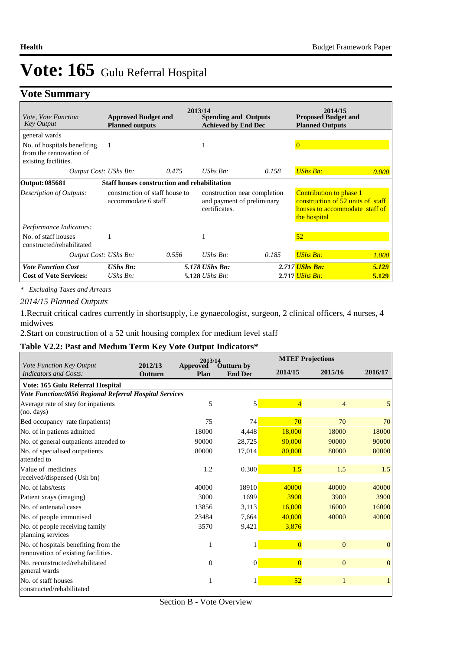# **Vote Summary**

| <i>Vote, Vote Function</i><br><b>Key Output</b>                                | <b>Approved Budget and</b><br><b>Planned outputs</b>  | 2013/14 | <b>Spending and Outputs</b><br><b>Achieved by End Dec</b>                   |       | 2014/15<br><b>Proposed Budget and</b><br><b>Planned Outputs</b>                                                       |       |
|--------------------------------------------------------------------------------|-------------------------------------------------------|---------|-----------------------------------------------------------------------------|-------|-----------------------------------------------------------------------------------------------------------------------|-------|
| general wards                                                                  |                                                       |         |                                                                             |       |                                                                                                                       |       |
| No. of hospitals benefiting<br>from the rennovation of<br>existing facilities. | 1                                                     |         | л                                                                           |       | $\Omega$                                                                                                              |       |
| Output Cost: UShs Bn:                                                          |                                                       | 0.475   | UShs $B_n$ :                                                                | 0.158 | <b>UShs Bn:</b>                                                                                                       | 0.000 |
| Output: 085681                                                                 | <b>Staff houses construction and rehabilitation</b>   |         |                                                                             |       |                                                                                                                       |       |
| <b>Description of Outputs:</b>                                                 | construction of staff house to<br>accommodate 6 staff |         | construction near completion<br>and payment of preliminary<br>certificates. |       | <b>Contribution to phase 1</b><br>construction of 52 units of staff<br>houses to accommodate staff of<br>the hospital |       |
| Performance Indicators:                                                        |                                                       |         |                                                                             |       |                                                                                                                       |       |
| No. of staff houses<br>constructed/rehabilitated                               |                                                       |         |                                                                             |       | 52                                                                                                                    |       |
| Output Cost: UShs Bn:                                                          |                                                       | 0.556   | $UShs Bn$ :                                                                 | 0.185 | <b>UShs Bn:</b>                                                                                                       | 1.000 |
| <b>Vote Function Cost</b>                                                      | <b>UShs Bn:</b>                                       |         | 5.178 UShs Bn:                                                              |       | 2.717 UShs Bn:                                                                                                        | 5.129 |
| <b>Cost of Vote Services:</b>                                                  | UShs $Bn$ :                                           |         | $5.128$ UShs Bn:                                                            |       | 2.717 <i>UShs Bn:</i>                                                                                                 | 5.129 |

*\* Excluding Taxes and Arrears*

#### *2014/15 Planned Outputs*

1.Recruit critical cadres currently in shortsupply, i.e gynaecologist, surgeon, 2 clinical officers, 4 nurses, 4 midwives

2.Start on construction of a 52 unit housing complex for medium level staff

### **Table V2.2: Past and Medum Term Key Vote Output Indicators\***

|                                                          |                           | 2013/14          |                                     |                | <b>MTEF Projections</b> |                |  |  |
|----------------------------------------------------------|---------------------------|------------------|-------------------------------------|----------------|-------------------------|----------------|--|--|
| Vote Function Key Output<br><b>Indicators and Costs:</b> | 2012/13<br><b>Outturn</b> | Approved<br>Plan | <b>Outturn by</b><br><b>End Dec</b> | 2014/15        | 2015/16                 | 2016/17        |  |  |
| Vote: 165 Gulu Referral Hospital                         |                           |                  |                                     |                |                         |                |  |  |
| Vote Function:0856 Regional Referral Hospital Services   |                           |                  |                                     |                |                         |                |  |  |
| Average rate of stay for inpatients                      |                           | 5                | $\mathbf{5}$                        | $\overline{4}$ | $\overline{4}$          | 5              |  |  |
| (no. days)                                               |                           |                  |                                     |                |                         |                |  |  |
| Bed occupancy rate (inpatients)                          |                           | 75               | 74                                  | 70             | 70                      | 70             |  |  |
| No. of in patients admitted                              |                           | 18000            | 4,448                               | 18,000         | 18000                   | 18000          |  |  |
| No. of general outpatients attended to                   |                           | 90000            | 28,725                              | 90,000         | 90000                   | 90000          |  |  |
| No. of specialised outpatients                           |                           | 80000            | 17,014                              | 80,000         | 80000                   | 80000          |  |  |
| attended to                                              |                           |                  |                                     |                |                         |                |  |  |
| Value of medicines                                       |                           | 1.2              | 0.300                               | 1.5            | 1.5                     | 1.5            |  |  |
| received/dispensed (Ush bn)                              |                           |                  |                                     |                |                         |                |  |  |
| No. of labs/tests                                        |                           | 40000            | 18910                               | 40000          | 40000                   | 40000          |  |  |
| Patient xrays (imaging)                                  |                           | 3000             | 1699                                | 3900           | 3900                    | 3900           |  |  |
| No. of antenatal cases                                   |                           | 13856            | 3,113                               | 16,000         | 16000                   | 16000          |  |  |
| No. of people immunised                                  |                           | 23484            | 7,664                               | 40.000         | 40000                   | 40000          |  |  |
| No. of people receiving family                           |                           | 3570             | 9,421                               | 3,876          |                         |                |  |  |
| planning services                                        |                           |                  |                                     |                |                         |                |  |  |
| No. of hospitals benefiting from the                     |                           | 1                |                                     | $\overline{0}$ | $\overline{0}$          | $\overline{0}$ |  |  |
| rennovation of existing facilities.                      |                           |                  |                                     |                |                         |                |  |  |
| No. reconstructed/rehabilitated                          |                           | $\overline{0}$   | $\vert 0 \vert$                     | $\overline{0}$ | $\mathbf{0}$            | $\overline{0}$ |  |  |
| general wards                                            |                           |                  |                                     |                |                         |                |  |  |
| No. of staff houses                                      |                           | 1                |                                     | 52             | $\mathbf{1}$            | $\mathbf{1}$   |  |  |
| constructed/rehabilitated                                |                           |                  |                                     |                |                         |                |  |  |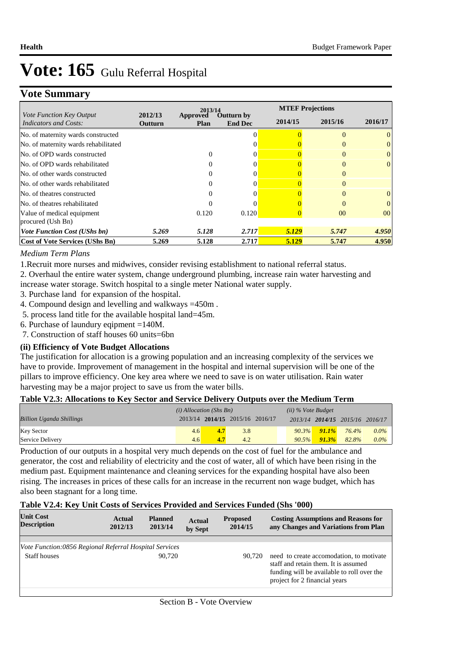# **Vote Summary**

| Vote Function Key Output               |                    | 2013/14                 |                              |         | <b>MTEF Projections</b> |          |  |  |
|----------------------------------------|--------------------|-------------------------|------------------------------|---------|-------------------------|----------|--|--|
| <b>Indicators and Costs:</b>           | 2012/13<br>Outturn | <b>Approved</b><br>Plan | Outturn by<br><b>End Dec</b> | 2014/15 | 2015/16                 | 2016/17  |  |  |
| No. of maternity wards constructed     |                    |                         |                              |         |                         | $\Omega$ |  |  |
| No. of maternity wards rehabilitated   |                    |                         |                              |         |                         |          |  |  |
| No. of OPD wards constructed           |                    |                         |                              |         |                         | 0        |  |  |
| No. of OPD wards rehabilitated         |                    |                         |                              |         |                         | $\Omega$ |  |  |
| No. of other wards constructed         |                    |                         |                              |         | $\Omega$                |          |  |  |
| No. of other wards rehabilitated       |                    |                         |                              |         |                         |          |  |  |
| No. of theatres constructed            |                    |                         |                              |         |                         | $\Omega$ |  |  |
| No. of theatres rehabilitated          |                    |                         |                              |         |                         | $\Omega$ |  |  |
| Value of medical equipment             |                    | 0.120                   | 0.120                        |         | 0 <sup>0</sup>          | $00\,$   |  |  |
| procured (Ush Bn)                      |                    |                         |                              |         |                         |          |  |  |
| <b>Vote Function Cost (UShs bn)</b>    | 5.269              | 5.128                   | 2.717                        | 5.129   | 5.747                   | 4.950    |  |  |
| <b>Cost of Vote Services (UShs Bn)</b> | 5.269              | 5.128                   | 2.717                        | 5.129   | 5.747                   | 4.950    |  |  |

### *Medium Term Plans*

1.Recruit more nurses and midwives, consider revising establishment to national referral status.

- 2. Overhaul the entire water system, change underground plumbing, increase rain water harvesting and
- increase water storage. Switch hospital to a single meter National water supply.
- 3. Purchase land for expansion of the hospital.
- 4. Compound design and levelling and walkways =450m .
- 5. process land title for the available hospital land=45m.
- 6. Purchase of laundury eqipment =140M.
- 7. Construction of staff houses 60 units=6bn

## **(ii) Efficiency of Vote Budget Allocations**

The justification for allocation is a growing population and an increasing complexity of the services we have to provide. Improvement of management in the hospital and internal supervision will be one of the pillars to improve efficiency. One key area where we need to save is on water utilisation. Rain water harvesting may be a major project to save us from the water bills.

## **Table V2.3: Allocations to Key Sector and Service Delivery Outputs over the Medium Term**

|                                 | $(i)$ Allocation (Shs Bn) |                  |                                 |  | $(ii)$ % Vote Budget |                   |                                 |         |
|---------------------------------|---------------------------|------------------|---------------------------------|--|----------------------|-------------------|---------------------------------|---------|
| <b>Billion Uganda Shillings</b> |                           |                  | 2013/14 2014/15 2015/16 2016/17 |  |                      |                   | 2013/14 2014/15 2015/16 2016/17 |         |
| <b>Key Sector</b>               | 4.6                       | 4.7 <sup>°</sup> | 3.8                             |  |                      | $90.3\%$ $91.1\%$ | 76.4%                           | $0.0\%$ |
| Service Delivery                | 4.6                       | 4.7              | 4.2                             |  | $90.5\%$             | 91.3%             | 82.8%                           | $0.0\%$ |

Production of our outputs in a hospital very much depends on the cost of fuel for the ambulance and generator, the cost and reliability of electricity and the cost of water, all of which have been rising in the medium past. Equipment maintenance and cleaning services for the expanding hospital have also been rising. The increases in prices of these calls for an increase in the recurrent non wage budget, which has also been stagnant for a long time.

### **Table V2.4: Key Unit Costs of Services Provided and Services Funded (Shs '000)**

| <b>Unit Cost</b><br><b>Description</b>                 | Actual<br>2012/13 | <b>Planned</b><br>2013/14 | <b>Actual</b><br>by Sept | <b>Proposed</b><br>2014/15 | <b>Costing Assumptions and Reasons for</b><br>any Changes and Variations from Plan                                                                              |
|--------------------------------------------------------|-------------------|---------------------------|--------------------------|----------------------------|-----------------------------------------------------------------------------------------------------------------------------------------------------------------|
|                                                        |                   |                           |                          |                            |                                                                                                                                                                 |
| Vote Function:0856 Regional Referral Hospital Services |                   |                           |                          |                            |                                                                                                                                                                 |
| <b>Staff houses</b>                                    |                   | 90.720                    |                          | 90.720                     | need to create accomodation, to motivate<br>staff and retain them. It is assumed<br>funding will be available to roll over the<br>project for 2 financial years |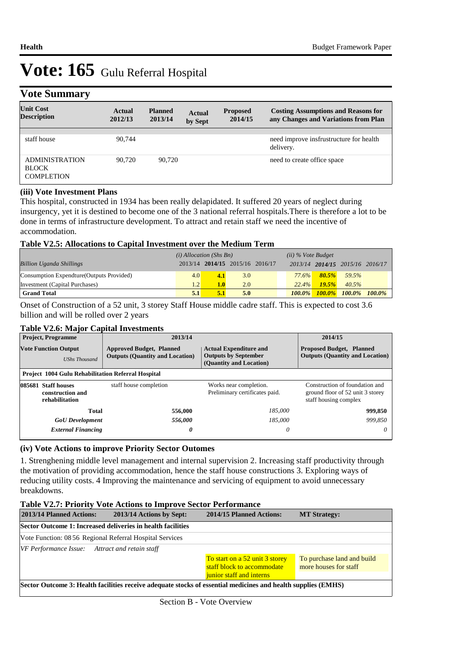# **Vote Summary**

| $\tilde{\phantom{a}}$                                      |                   |                           |                          |                            |                                                                                    |
|------------------------------------------------------------|-------------------|---------------------------|--------------------------|----------------------------|------------------------------------------------------------------------------------|
| <b>Unit Cost</b><br><b>Description</b>                     | Actual<br>2012/13 | <b>Planned</b><br>2013/14 | <b>Actual</b><br>by Sept | <b>Proposed</b><br>2014/15 | <b>Costing Assumptions and Reasons for</b><br>any Changes and Variations from Plan |
|                                                            |                   |                           |                          |                            |                                                                                    |
| staff house                                                | 90,744            |                           |                          |                            | need improve insfrustructure for health<br>delivery.                               |
| <b>ADMINISTRATION</b><br><b>BLOCK</b><br><b>COMPLETION</b> | 90.720            | 90.720                    |                          |                            | need to create office space                                                        |

### **(iii) Vote Investment Plans**

This hospital, constructed in 1934 has been really delapidated. It suffered 20 years of neglect during insurgency, yet it is destined to become one of the 3 national referral hospitals.There is therefore a lot to be done in terms of infrastructure development. To attract and retain staff we need the incentive of accommodation.

### **Table V2.5: Allocations to Capital Investment over the Medium Term**

|                                           | $(i)$ Allocation (Shs Bn) |                  |                                 |  | $(ii)$ % Vote Budget |           |                                 |  |
|-------------------------------------------|---------------------------|------------------|---------------------------------|--|----------------------|-----------|---------------------------------|--|
| <b>Billion Uganda Shillings</b>           |                           |                  | 2013/14 2014/15 2015/16 2016/17 |  |                      |           | 2013/14 2014/15 2015/16 2016/17 |  |
| Consumption Expendture (Outputs Provided) | 4.0                       | 4.1              | 3.0                             |  | <b>77.6%</b>         | $80.5\%$  | 59.5%                           |  |
| Investment (Capital Purchases)            | 1.2                       | 1.0 <sub>l</sub> | 2.0                             |  | 22.4%                | 19.5%     | 40.5%                           |  |
| <b>Grand Total</b>                        | 5.1                       | 5.1              | 5.0                             |  | $100.0\%$            | $100.0\%$ | 100.0% 100.0%                   |  |

Onset of Construction of a 52 unit, 3 storey Staff House middle cadre staff. This is expected to cost 3.6 billion and will be rolled over 2 years

## **Table V2.6: Major Capital Investments**

| <b>Project, Programme</b><br><b>Vote Function Output</b><br><b>UShs Thousand</b> |                                                           | 2013/14                                                                   | 2014/15                                                                                 |                                                                                             |  |
|----------------------------------------------------------------------------------|-----------------------------------------------------------|---------------------------------------------------------------------------|-----------------------------------------------------------------------------------------|---------------------------------------------------------------------------------------------|--|
|                                                                                  |                                                           | <b>Approved Budget, Planned</b><br><b>Outputs (Quantity and Location)</b> | <b>Actual Expenditure and</b><br><b>Outputs by September</b><br>(Quantity and Location) | <b>Proposed Budget, Planned</b><br><b>Outputs (Quantity and Location)</b>                   |  |
|                                                                                  | <b>Project 1004 Gulu Rehabilitation Referral Hospital</b> |                                                                           |                                                                                         |                                                                                             |  |
|                                                                                  | 085681 Staff houses<br>construction and<br>rehabilitation | staff house completion                                                    | Works near completion.<br>Preliminary certificates paid.                                | Construction of foundation and<br>ground floor of 52 unit 3 storey<br>staff housing complex |  |
|                                                                                  | <b>Total</b>                                              | 556,000                                                                   | 185.000                                                                                 | 999,850                                                                                     |  |
|                                                                                  | <b>GoU</b> Development                                    | 556,000                                                                   | 185.000                                                                                 | 999.850                                                                                     |  |
|                                                                                  | <b>External Financing</b>                                 | 0                                                                         | 0                                                                                       | 0                                                                                           |  |

## **(iv) Vote Actions to improve Priority Sector Outomes**

1. Strenghening middle level management and internal supervision 2. Increasing staff productivity through the motivation of providing accommodation, hence the staff house constructions 3. Exploring ways of reducing utility costs. 4 Improving the maintenance and servicing of equipment to avoid unnecessary breakdowns.

### **Table V2.7: Priority Vote Actions to Improve Sector Performance**

| 2013/14 Planned Actions:                              | 2013/14 Actions by Sept:                                                                                      | 2014/15 Planned Actions:                                                                 | <b>MT Strategy:</b>                                 |
|-------------------------------------------------------|---------------------------------------------------------------------------------------------------------------|------------------------------------------------------------------------------------------|-----------------------------------------------------|
|                                                       | Sector Outcome 1: Increased deliveries in health facilities                                                   |                                                                                          |                                                     |
|                                                       | Vote Function: 08 56 Regional Referral Hospital Services                                                      |                                                                                          |                                                     |
| <b>VF Performance Issue:</b> Attract and retain staff |                                                                                                               | To start on a 52 unit 3 storey<br>staff block to accommodate<br>junior staff and interns | To purchase land and build<br>more houses for staff |
|                                                       | Sector Outcome 3: Health facilities receive adequate stocks of essential medicines and health supplies (EMHS) |                                                                                          |                                                     |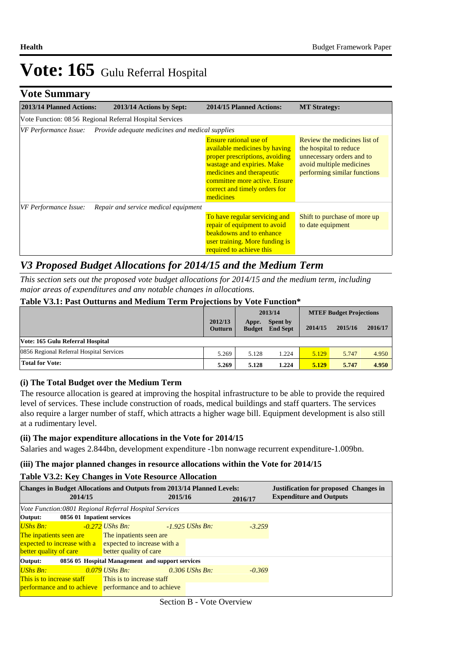# **Vote Summary**

| 2013/14 Planned Actions:                                                 | 2013/14 Actions by Sept:             | <b>2014/15 Planned Actions:</b>                                                                                                                                                                                                            | <b>MT Strategy:</b>                                                                                                                             |  |  |  |  |
|--------------------------------------------------------------------------|--------------------------------------|--------------------------------------------------------------------------------------------------------------------------------------------------------------------------------------------------------------------------------------------|-------------------------------------------------------------------------------------------------------------------------------------------------|--|--|--|--|
| Vote Function: 08 56 Regional Referral Hospital Services                 |                                      |                                                                                                                                                                                                                                            |                                                                                                                                                 |  |  |  |  |
| Provide adequate medicines and medical supplies<br>VF Performance Issue: |                                      |                                                                                                                                                                                                                                            |                                                                                                                                                 |  |  |  |  |
|                                                                          |                                      | <b>Ensure rational use of</b><br>available medicines by having<br>proper prescriptions, avoiding<br>wastage and expiries. Make<br>medicines and therapeutic<br>committee more active. Ensure<br>correct and timely orders for<br>medicines | Review the medicines list of<br>the hospital to reduce<br>unnecessary orders and to<br>avoid multiple medicines<br>performing similar functions |  |  |  |  |
| VF Performance Issue:                                                    | Repair and service medical equipment |                                                                                                                                                                                                                                            |                                                                                                                                                 |  |  |  |  |
|                                                                          |                                      | To have regular servicing and<br>repair of equipment to avoid<br>beakdowns and to enhance<br>user training. More funding is<br>required to achieve this                                                                                    | Shift to purchase of more up<br>to date equipment                                                                                               |  |  |  |  |

## *V3 Proposed Budget Allocations for 2014/15 and the Medium Term*

*This section sets out the proposed vote budget allocations for 2014/15 and the medium term, including major areas of expenditures and any notable changes in allocations.* 

#### **Table V3.1: Past Outturns and Medium Term Projections by Vote Function\***

|                                          |                           | 2013/14                |                                    | <b>MTEF Budget Projections</b> |         |         |
|------------------------------------------|---------------------------|------------------------|------------------------------------|--------------------------------|---------|---------|
|                                          | 2012/13<br><b>Outturn</b> | Appr.<br><b>Budget</b> | <b>Spent by</b><br><b>End Sept</b> | 2014/15                        | 2015/16 | 2016/17 |
| Vote: 165 Gulu Referral Hospital         |                           |                        |                                    |                                |         |         |
| 0856 Regional Referral Hospital Services | 5.269                     | 5.128                  | 1.224                              | 5.129                          | 5.747   | 4.950   |
| <b>Total for Vote:</b>                   |                           | 5.128                  | 1.224                              | 5.129                          | 5.747   | 4.950   |

### **(i) The Total Budget over the Medium Term**

The resource allocation is geared at improving the hospital infrastructure to be able to provide the required level of services. These include construction of roads, medical buildings and staff quarters. The services also require a larger number of staff, which attracts a higher wage bill. Equipment development is also still at a rudimentary level.

### **(ii) The major expenditure allocations in the Vote for 2014/15**

Salaries and wages 2.844bn, development expenditure -1bn nonwage recurrent expenditure-1.009bn.

#### **(iii) The major planned changes in resource allocations within the Vote for 2014/15**

#### **Table V3.2: Key Changes in Vote Resource Allocation**

| <b>Changes in Budget Allocations and Outputs from 2013/14 Planned Levels:</b> | <b>Justification for proposed Changes in</b>     |         |                   |          |                                |
|-------------------------------------------------------------------------------|--------------------------------------------------|---------|-------------------|----------|--------------------------------|
| 2014/15                                                                       |                                                  | 2015/16 |                   | 2016/17  | <b>Expenditure and Outputs</b> |
| Vote Function:0801 Regional Referral Hospital Services                        |                                                  |         |                   |          |                                |
| Output:<br>0856 01 Inpatient services                                         |                                                  |         |                   |          |                                |
| <b>UShs Bn:</b>                                                               | $-0.272$ UShs Bn:                                |         | $-1.925$ UShs Bn: | $-3.259$ |                                |
| The inpatients seen are                                                       | The inpatients seen are                          |         |                   |          |                                |
| $\frac{1}{2}$ expected to increase with a expected to increase with a         |                                                  |         |                   |          |                                |
| better quality of care                                                        | better quality of care                           |         |                   |          |                                |
| Output:                                                                       | 0856 05 Hospital Management and support services |         |                   |          |                                |
| <b>UShs Bn:</b>                                                               | 0.079 UShs Bn:                                   |         | $0.306$ UShs Bn:  | $-0.369$ |                                |
| This is to increase staff                                                     | This is to increase staff                        |         |                   |          |                                |
| <b>performance and to achieve</b> performance and to achieve                  |                                                  |         |                   |          |                                |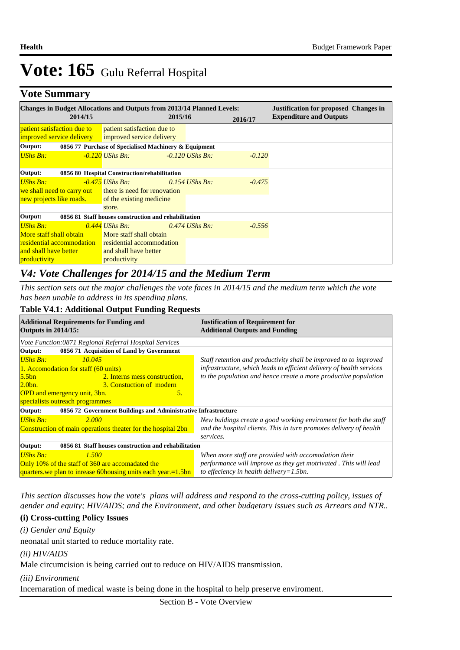# **Vote Summary**

| <b>Changes in Budget Allocations and Outputs from 2013/14 Planned Levels:</b> |         |                                                                                                  |         |                   |          | <b>Justification for proposed Changes in</b> |
|-------------------------------------------------------------------------------|---------|--------------------------------------------------------------------------------------------------|---------|-------------------|----------|----------------------------------------------|
|                                                                               | 2014/15 |                                                                                                  | 2015/16 |                   | 2016/17  | <b>Expenditure and Outputs</b>               |
| <i>patient satisfaction due to</i>                                            |         | <b>patient satisfaction due to</b><br><b>improved service delivery</b> improved service delivery |         |                   |          |                                              |
| Output:                                                                       |         | 0856 77 Purchase of Specialised Machinery & Equipment                                            |         |                   |          |                                              |
| UShs Bn:                                                                      |         | -0.120 UShs Bn:                                                                                  |         | $-0.120$ UShs Bn: | $-0.120$ |                                              |
| Output:                                                                       |         | 0856 80 Hospital Construction/rehabilitation                                                     |         |                   |          |                                              |
| UShs Bn:                                                                      |         | $-0.475$ UShs Bn:                                                                                |         | 0.154 UShs Bn:    | $-0.475$ |                                              |
|                                                                               |         | we shall need to carry out there is need for renovation                                          |         |                   |          |                                              |
|                                                                               |         | new projects like roads. of the existing medicine                                                |         |                   |          |                                              |
|                                                                               |         | store.                                                                                           |         |                   |          |                                              |
| Output:                                                                       |         | 0856 81 Staff houses construction and rehabilitation                                             |         |                   |          |                                              |
| <b>UShs Bn:</b>                                                               |         | 0.444 UShs Bn:                                                                                   |         | $0.474$ UShs Bn:  | $-0.556$ |                                              |
|                                                                               |         | More staff shall obtain More staff shall obtain                                                  |         |                   |          |                                              |
|                                                                               |         | <b>residential accommodation</b> residential accommodation                                       |         |                   |          |                                              |
| and shall have better                                                         |         | and shall have better                                                                            |         |                   |          |                                              |
| productivity                                                                  |         | productivity                                                                                     |         |                   |          |                                              |

# *V4: Vote Challenges for 2014/15 and the Medium Term*

*This section sets out the major challenges the vote faces in 2014/15 and the medium term which the vote has been unable to address in its spending plans.*

#### **Table V4.1: Additional Output Funding Requests**

| <b>Justification of Requirement for</b><br><b>Additional Outputs and Funding</b> |  |  |
|----------------------------------------------------------------------------------|--|--|
|                                                                                  |  |  |
|                                                                                  |  |  |
| Staff retention and productivity shall be improved to to improved                |  |  |
| infrastructure, which leads to efficient delivery of health services             |  |  |
| to the population and hence create a more productive population                  |  |  |
|                                                                                  |  |  |
|                                                                                  |  |  |
|                                                                                  |  |  |
| 0856 72 Government Buildings and Administrative Infrastructure                   |  |  |
| New buldings create a good working enviroment for both the staff                 |  |  |
| and the hospital clients. This in turn promotes delivery of health               |  |  |
| services.                                                                        |  |  |
| 0856 81 Staff houses construction and rehabilitation                             |  |  |
| When more staff are provided with accomodation their                             |  |  |
| performance will improve as they get motrivated. This will lead                  |  |  |
| to effeciency in health delivery=1.5bn.                                          |  |  |
|                                                                                  |  |  |

*This section discusses how the vote's plans will address and respond to the cross-cutting policy, issues of gender and equity; HIV/AIDS; and the Environment, and other budgetary issues such as Arrears and NTR..* 

### **(i) Cross-cutting Policy Issues**

*(i) Gender and Equity*

neonatal unit started to reduce mortality rate.

*(ii) HIV/AIDS*

Male circumcision is being carried out to reduce on HIV/AIDS transmission.

*(iii) Environment*

Incernaration of medical waste is being done in the hospital to help preserve enviroment.